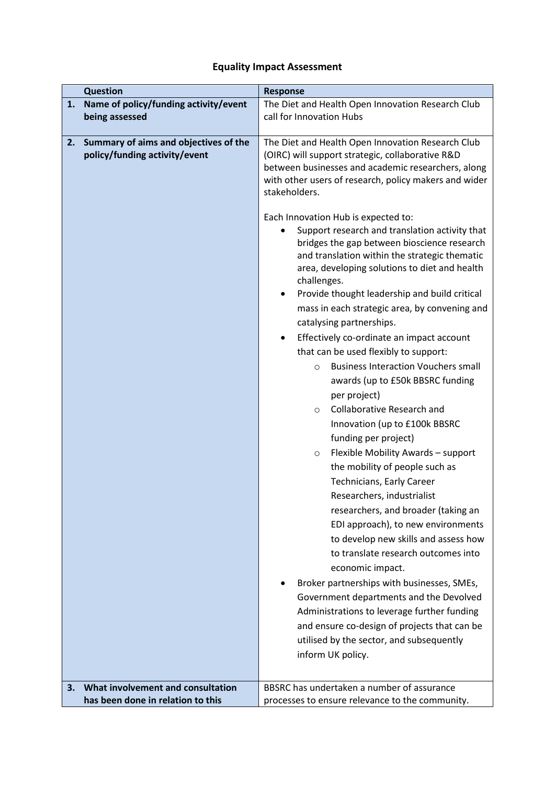## **Equality Impact Assessment**

|    | <b>Question</b>                                                        | <b>Response</b>                                                                                                                                                                                                                                                                                                                                                                                                                                                                                                                                                                                                                                                                                                                                                                                                                                                                                                                                                                                                                                                                                                                                                                                                                                                                                                                                                                                                                                                          |  |
|----|------------------------------------------------------------------------|--------------------------------------------------------------------------------------------------------------------------------------------------------------------------------------------------------------------------------------------------------------------------------------------------------------------------------------------------------------------------------------------------------------------------------------------------------------------------------------------------------------------------------------------------------------------------------------------------------------------------------------------------------------------------------------------------------------------------------------------------------------------------------------------------------------------------------------------------------------------------------------------------------------------------------------------------------------------------------------------------------------------------------------------------------------------------------------------------------------------------------------------------------------------------------------------------------------------------------------------------------------------------------------------------------------------------------------------------------------------------------------------------------------------------------------------------------------------------|--|
| 1. | Name of policy/funding activity/event                                  | The Diet and Health Open Innovation Research Club                                                                                                                                                                                                                                                                                                                                                                                                                                                                                                                                                                                                                                                                                                                                                                                                                                                                                                                                                                                                                                                                                                                                                                                                                                                                                                                                                                                                                        |  |
|    | being assessed                                                         | call for Innovation Hubs                                                                                                                                                                                                                                                                                                                                                                                                                                                                                                                                                                                                                                                                                                                                                                                                                                                                                                                                                                                                                                                                                                                                                                                                                                                                                                                                                                                                                                                 |  |
| 2. | Summary of aims and objectives of the<br>policy/funding activity/event | The Diet and Health Open Innovation Research Club<br>(OIRC) will support strategic, collaborative R&D<br>between businesses and academic researchers, along<br>with other users of research, policy makers and wider<br>stakeholders.<br>Each Innovation Hub is expected to:<br>Support research and translation activity that<br>bridges the gap between bioscience research<br>and translation within the strategic thematic<br>area, developing solutions to diet and health<br>challenges.<br>Provide thought leadership and build critical<br>٠<br>mass in each strategic area, by convening and<br>catalysing partnerships.<br>Effectively co-ordinate an impact account<br>٠<br>that can be used flexibly to support:<br><b>Business Interaction Vouchers small</b><br>$\circ$<br>awards (up to £50k BBSRC funding<br>per project)<br><b>Collaborative Research and</b><br>$\circ$<br>Innovation (up to £100k BBSRC<br>funding per project)<br>Flexible Mobility Awards - support<br>$\circ$<br>the mobility of people such as<br>Technicians, Early Career<br>Researchers, industrialist<br>researchers, and broader (taking an<br>EDI approach), to new environments<br>to develop new skills and assess how<br>to translate research outcomes into<br>economic impact.<br>Broker partnerships with businesses, SMEs,<br>Government departments and the Devolved<br>Administrations to leverage further funding<br>and ensure co-design of projects that can be |  |
|    |                                                                        | utilised by the sector, and subsequently<br>inform UK policy.                                                                                                                                                                                                                                                                                                                                                                                                                                                                                                                                                                                                                                                                                                                                                                                                                                                                                                                                                                                                                                                                                                                                                                                                                                                                                                                                                                                                            |  |
|    |                                                                        |                                                                                                                                                                                                                                                                                                                                                                                                                                                                                                                                                                                                                                                                                                                                                                                                                                                                                                                                                                                                                                                                                                                                                                                                                                                                                                                                                                                                                                                                          |  |
| 3. | What involvement and consultation<br>has been done in relation to this | BBSRC has undertaken a number of assurance<br>processes to ensure relevance to the community.                                                                                                                                                                                                                                                                                                                                                                                                                                                                                                                                                                                                                                                                                                                                                                                                                                                                                                                                                                                                                                                                                                                                                                                                                                                                                                                                                                            |  |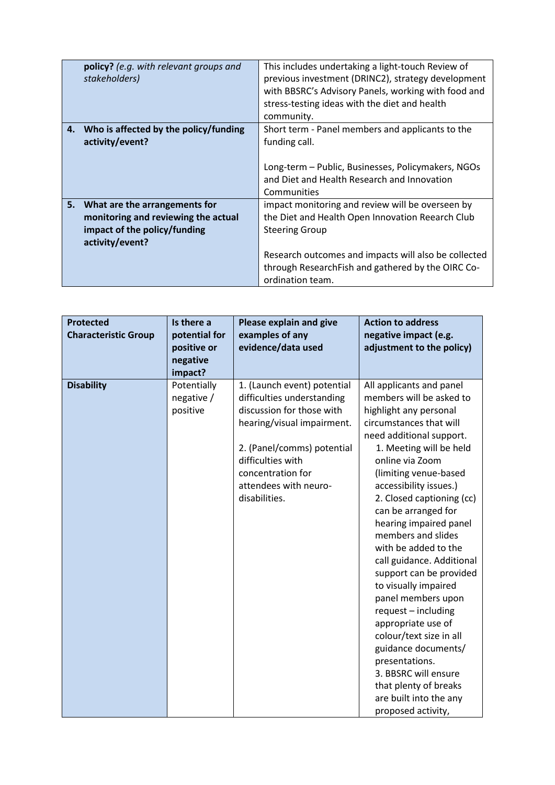| <b>policy?</b> (e.g. with relevant groups and | This includes undertaking a light-touch Review of    |
|-----------------------------------------------|------------------------------------------------------|
| stakeholders)                                 | previous investment (DRINC2), strategy development   |
|                                               | with BBSRC's Advisory Panels, working with food and  |
|                                               | stress-testing ideas with the diet and health        |
|                                               | community.                                           |
| 4. Who is affected by the policy/funding      | Short term - Panel members and applicants to the     |
| activity/event?                               | funding call.                                        |
|                                               |                                                      |
|                                               | Long-term - Public, Businesses, Policymakers, NGOs   |
|                                               | and Diet and Health Research and Innovation          |
|                                               | Communities                                          |
| 5. What are the arrangements for              | impact monitoring and review will be overseen by     |
| monitoring and reviewing the actual           | the Diet and Health Open Innovation Reearch Club     |
| impact of the policy/funding                  | <b>Steering Group</b>                                |
| activity/event?                               |                                                      |
|                                               | Research outcomes and impacts will also be collected |
|                                               |                                                      |
|                                               | ordination team.                                     |
|                                               | through ResearchFish and gathered by the OIRC Co-    |

| <b>Protected</b><br><b>Characteristic Group</b> | Is there a<br>potential for<br>positive or<br>negative<br>impact? | Please explain and give<br>examples of any<br>evidence/data used                                                                                                                                                                       | <b>Action to address</b><br>negative impact (e.g.<br>adjustment to the policy)                                                                                                                                                                                                                                                                                                                                                                                                                                                                                                                                                                                                             |
|-------------------------------------------------|-------------------------------------------------------------------|----------------------------------------------------------------------------------------------------------------------------------------------------------------------------------------------------------------------------------------|--------------------------------------------------------------------------------------------------------------------------------------------------------------------------------------------------------------------------------------------------------------------------------------------------------------------------------------------------------------------------------------------------------------------------------------------------------------------------------------------------------------------------------------------------------------------------------------------------------------------------------------------------------------------------------------------|
| <b>Disability</b>                               | Potentially<br>negative /<br>positive                             | 1. (Launch event) potential<br>difficulties understanding<br>discussion for those with<br>hearing/visual impairment.<br>2. (Panel/comms) potential<br>difficulties with<br>concentration for<br>attendees with neuro-<br>disabilities. | All applicants and panel<br>members will be asked to<br>highlight any personal<br>circumstances that will<br>need additional support.<br>1. Meeting will be held<br>online via Zoom<br>(limiting venue-based<br>accessibility issues.)<br>2. Closed captioning (cc)<br>can be arranged for<br>hearing impaired panel<br>members and slides<br>with be added to the<br>call guidance. Additional<br>support can be provided<br>to visually impaired<br>panel members upon<br>request - including<br>appropriate use of<br>colour/text size in all<br>guidance documents/<br>presentations.<br>3. BBSRC will ensure<br>that plenty of breaks<br>are built into the any<br>proposed activity, |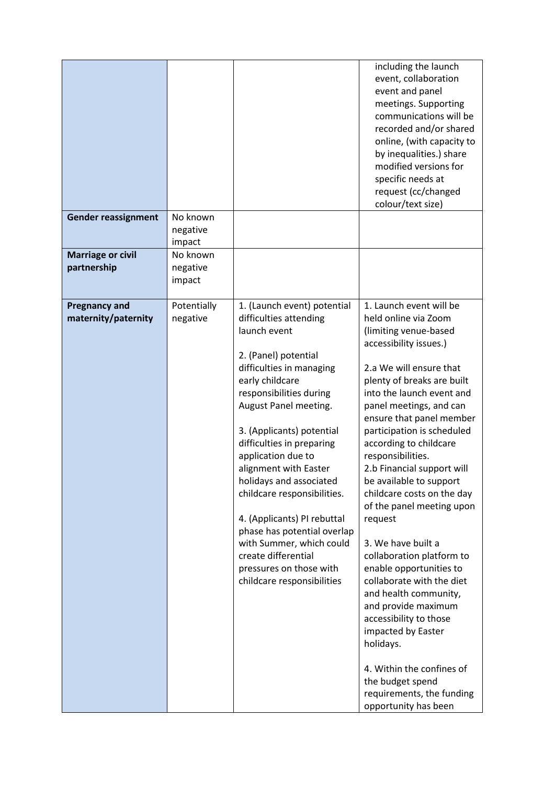|                                             |                                |                                                                                                                                                                                                                                                                                                                                                                                                                                                                                                                                               | including the launch<br>event, collaboration<br>event and panel<br>meetings. Supporting<br>communications will be<br>recorded and/or shared<br>online, (with capacity to<br>by inequalities.) share<br>modified versions for<br>specific needs at<br>request (cc/changed<br>colour/text size)                                                                                                                                                                                                                                                                                                                                                                                                                                                                                             |
|---------------------------------------------|--------------------------------|-----------------------------------------------------------------------------------------------------------------------------------------------------------------------------------------------------------------------------------------------------------------------------------------------------------------------------------------------------------------------------------------------------------------------------------------------------------------------------------------------------------------------------------------------|-------------------------------------------------------------------------------------------------------------------------------------------------------------------------------------------------------------------------------------------------------------------------------------------------------------------------------------------------------------------------------------------------------------------------------------------------------------------------------------------------------------------------------------------------------------------------------------------------------------------------------------------------------------------------------------------------------------------------------------------------------------------------------------------|
| <b>Gender reassignment</b>                  | No known<br>negative<br>impact |                                                                                                                                                                                                                                                                                                                                                                                                                                                                                                                                               |                                                                                                                                                                                                                                                                                                                                                                                                                                                                                                                                                                                                                                                                                                                                                                                           |
| <b>Marriage or civil</b><br>partnership     | No known<br>negative<br>impact |                                                                                                                                                                                                                                                                                                                                                                                                                                                                                                                                               |                                                                                                                                                                                                                                                                                                                                                                                                                                                                                                                                                                                                                                                                                                                                                                                           |
| <b>Pregnancy and</b><br>maternity/paternity | Potentially<br>negative        | 1. (Launch event) potential<br>difficulties attending<br>launch event<br>2. (Panel) potential<br>difficulties in managing<br>early childcare<br>responsibilities during<br>August Panel meeting.<br>3. (Applicants) potential<br>difficulties in preparing<br>application due to<br>alignment with Easter<br>holidays and associated<br>childcare responsibilities.<br>4. (Applicants) PI rebuttal<br>phase has potential overlap<br>with Summer, which could<br>create differential<br>pressures on those with<br>childcare responsibilities | 1. Launch event will be<br>held online via Zoom<br>(limiting venue-based<br>accessibility issues.)<br>2.a We will ensure that<br>plenty of breaks are built<br>into the launch event and<br>panel meetings, and can<br>ensure that panel member<br>participation is scheduled<br>according to childcare<br>responsibilities.<br>2.b Financial support will<br>be available to support<br>childcare costs on the day<br>of the panel meeting upon<br>request<br>3. We have built a<br>collaboration platform to<br>enable opportunities to<br>collaborate with the diet<br>and health community,<br>and provide maximum<br>accessibility to those<br>impacted by Easter<br>holidays.<br>4. Within the confines of<br>the budget spend<br>requirements, the funding<br>opportunity has been |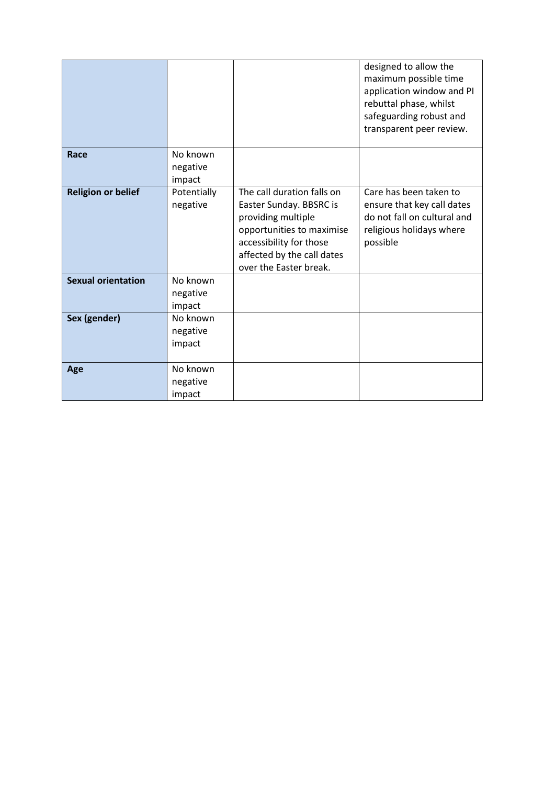|                           |                                |                                                                                                                                                                                             | designed to allow the<br>maximum possible time<br>application window and PI<br>rebuttal phase, whilst<br>safeguarding robust and<br>transparent peer review. |
|---------------------------|--------------------------------|---------------------------------------------------------------------------------------------------------------------------------------------------------------------------------------------|--------------------------------------------------------------------------------------------------------------------------------------------------------------|
| Race                      | No known<br>negative<br>impact |                                                                                                                                                                                             |                                                                                                                                                              |
| <b>Religion or belief</b> | Potentially<br>negative        | The call duration falls on<br>Easter Sunday. BBSRC is<br>providing multiple<br>opportunities to maximise<br>accessibility for those<br>affected by the call dates<br>over the Easter break. | Care has been taken to<br>ensure that key call dates<br>do not fall on cultural and<br>religious holidays where<br>possible                                  |
| <b>Sexual orientation</b> | No known<br>negative<br>impact |                                                                                                                                                                                             |                                                                                                                                                              |
| Sex (gender)              | No known<br>negative<br>impact |                                                                                                                                                                                             |                                                                                                                                                              |
| Age                       | No known<br>negative<br>impact |                                                                                                                                                                                             |                                                                                                                                                              |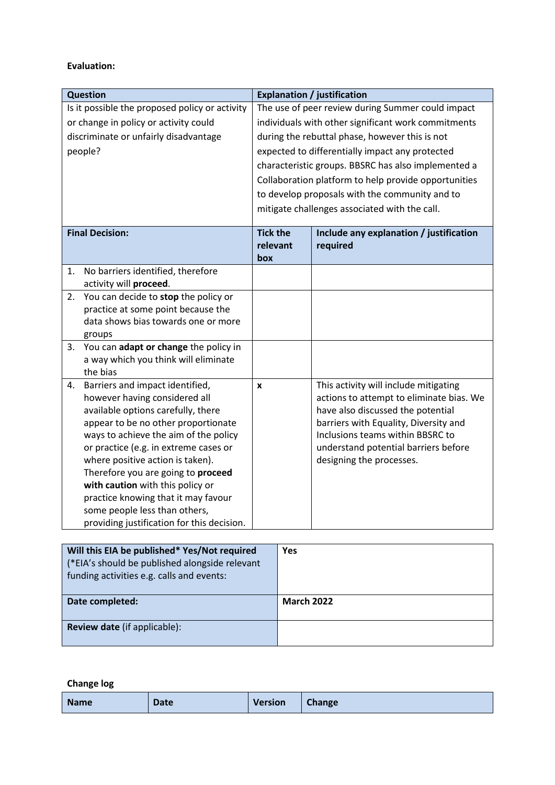## **Evaluation:**

| <b>Question</b>                                                                  | <b>Explanation / justification</b>                  |                                                      |  |
|----------------------------------------------------------------------------------|-----------------------------------------------------|------------------------------------------------------|--|
| Is it possible the proposed policy or activity                                   | The use of peer review during Summer could impact   |                                                      |  |
| or change in policy or activity could                                            | individuals with other significant work commitments |                                                      |  |
| discriminate or unfairly disadvantage                                            |                                                     | during the rebuttal phase, however this is not       |  |
| people?                                                                          |                                                     | expected to differentially impact any protected      |  |
|                                                                                  |                                                     | characteristic groups. BBSRC has also implemented a  |  |
|                                                                                  |                                                     | Collaboration platform to help provide opportunities |  |
|                                                                                  |                                                     | to develop proposals with the community and to       |  |
|                                                                                  |                                                     | mitigate challenges associated with the call.        |  |
|                                                                                  |                                                     |                                                      |  |
| <b>Final Decision:</b>                                                           | <b>Tick the</b>                                     | Include any explanation / justification              |  |
|                                                                                  | relevant                                            | required                                             |  |
|                                                                                  | box                                                 |                                                      |  |
| No barriers identified, therefore<br>1.                                          |                                                     |                                                      |  |
| activity will proceed.                                                           |                                                     |                                                      |  |
| You can decide to stop the policy or<br>2.                                       |                                                     |                                                      |  |
| practice at some point because the                                               |                                                     |                                                      |  |
| data shows bias towards one or more                                              |                                                     |                                                      |  |
| groups                                                                           |                                                     |                                                      |  |
| 3. You can adapt or change the policy in<br>a way which you think will eliminate |                                                     |                                                      |  |
| the bias                                                                         |                                                     |                                                      |  |
| Barriers and impact identified,<br>4.                                            | X                                                   | This activity will include mitigating                |  |
| however having considered all                                                    |                                                     | actions to attempt to eliminate bias. We             |  |
| available options carefully, there                                               |                                                     | have also discussed the potential                    |  |
| appear to be no other proportionate                                              |                                                     | barriers with Equality, Diversity and                |  |
| ways to achieve the aim of the policy                                            |                                                     | Inclusions teams within BBSRC to                     |  |
| or practice (e.g. in extreme cases or                                            |                                                     | understand potential barriers before                 |  |
| where positive action is taken).                                                 |                                                     | designing the processes.                             |  |
| Therefore you are going to proceed                                               |                                                     |                                                      |  |
| with caution with this policy or                                                 |                                                     |                                                      |  |
| practice knowing that it may favour                                              |                                                     |                                                      |  |
| some people less than others,                                                    |                                                     |                                                      |  |
| providing justification for this decision.                                       |                                                     |                                                      |  |

| Will this EIA be published* Yes/Not required<br>(*EIA's should be published alongside relevant<br>funding activities e.g. calls and events: | <b>Yes</b>        |
|---------------------------------------------------------------------------------------------------------------------------------------------|-------------------|
| Date completed:                                                                                                                             | <b>March 2022</b> |
| <b>Review date</b> (if applicable):                                                                                                         |                   |

**Change log**

| Name<br><b>Date</b> | <b>Version</b> | <b>Change</b> |
|---------------------|----------------|---------------|
|---------------------|----------------|---------------|